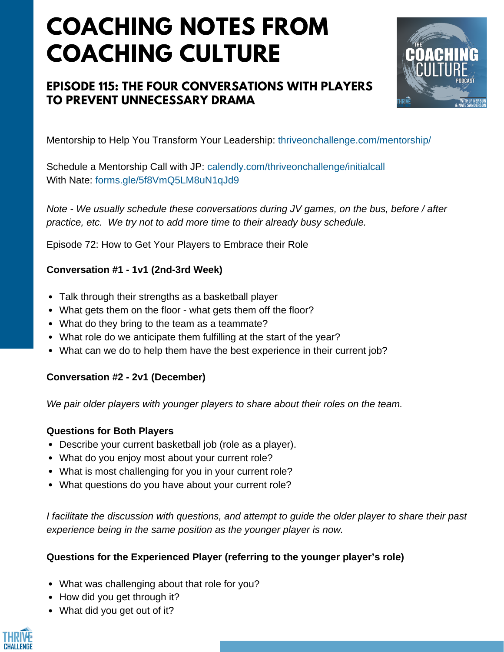# **COACHING NOTES FROM COACHING CULTURE**

# **EPISODE 115: THE FOUR CONVERSATIONS WITH PLAYERS TO PREVENT UNNECESSARY DRAMA**



Mentorship to Help You Transform Your Leadership: thriveonchallenge.com/mentorship/

Schedule a Mentorship Call with JP: calendly.com/thriveonchallenge/initialcall With Nate: forms.gle/5f8VmO5LM8uN1qJd9

*Note - We usually schedule these conversations during JV games, on the bus, before / after practice, etc. We try not to add more time to their already busy schedule.*

Episode 72: How to Get Your Players to Embrace their Role

### **Conversation #1 - 1v1 (2nd-3rd Week)**

- Talk through their strengths as a basketball player
- What gets them on the floor what gets them off the floor?
- What do they bring to the team as a teammate?
- What role do we anticipate them fulfilling at the start of the year?
- What can we do to help them have the best experience in their current job?

#### **Conversation #2 - 2v1 (December)**

*We pair older players with younger players to share about their roles on the team.*

# **Questions for Both Players**

- Describe your current basketball job (role as a player).
- What do you enjoy most about your current role?
- What is most challenging for you in your current role?
- What questions do you have about your current role?

*I facilitate the discussion with questions, and attempt to guide the older player to share their past experience being in the same position as the younger player is now.*

# **Questions for the Experienced Player (referring to the younger player's role)**

- What was challenging about that role for you?
- How did you get through it?
- What did you get out of it?